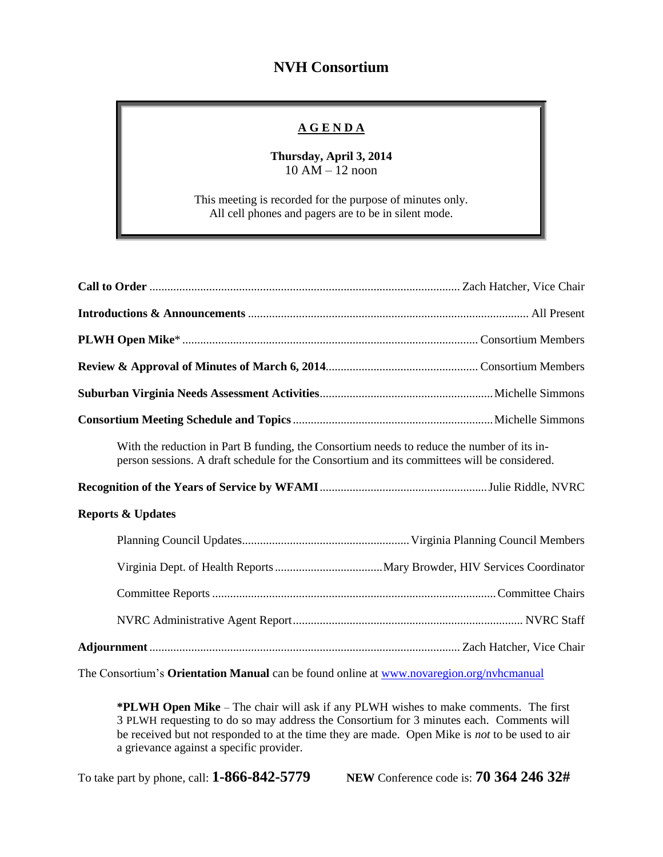## **NVH Consortium**

## **A G E N D A**

## **Thursday, April 3, 2014** 10 AM – 12 noon

This meeting is recorded for the purpose of minutes only. All cell phones and pagers are to be in silent mode.

| With the reduction in Part B funding, the Consortium needs to reduce the number of its in-<br>person sessions. A draft schedule for the Consortium and its committees will be considered. |  |
|-------------------------------------------------------------------------------------------------------------------------------------------------------------------------------------------|--|
|                                                                                                                                                                                           |  |
|                                                                                                                                                                                           |  |
| <b>Reports &amp; Updates</b>                                                                                                                                                              |  |
|                                                                                                                                                                                           |  |
|                                                                                                                                                                                           |  |
|                                                                                                                                                                                           |  |
|                                                                                                                                                                                           |  |

The Consortium's **Orientation Manual** can be found online at [www.novaregion.org/nvhcmanual](http://www.novaregion.org/nvhcmanual)

**\*PLWH Open Mike** – The chair will ask if any PLWH wishes to make comments. The first 3 PLWH requesting to do so may address the Consortium for 3 minutes each. Comments will be received but not responded to at the time they are made. Open Mike is *not* to be used to air a grievance against a specific provider.

To take part by phone, call: **1-866-842-5779 NEW** Conference code is: **70 364 246 32#**